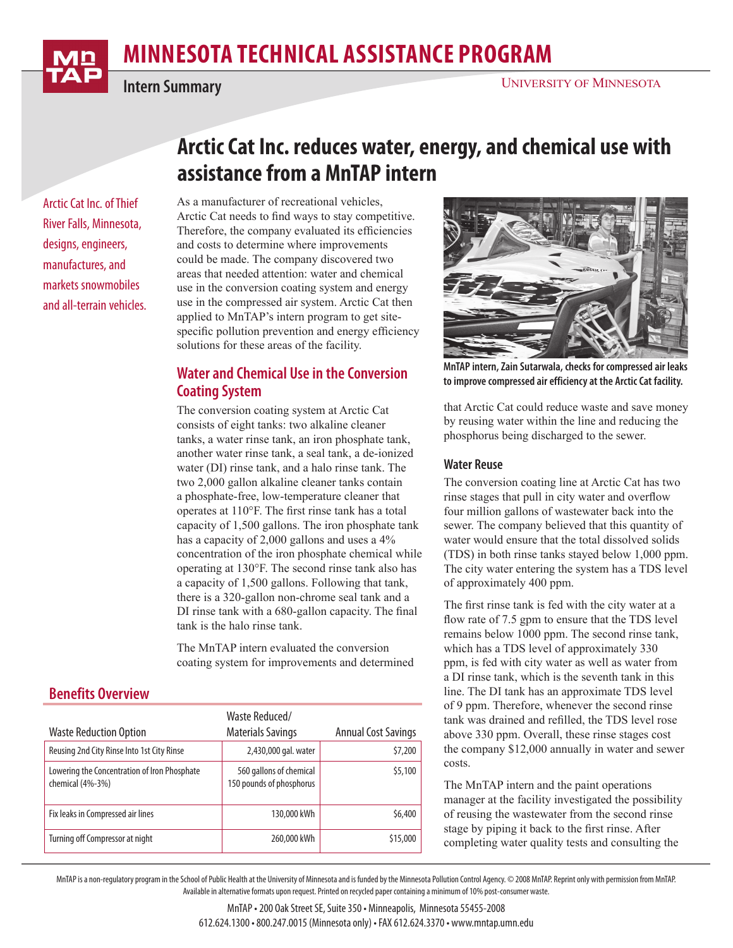# **minnesota Technical Assistance Program**



**Intern Summary**

Arctic Cat Inc. of Thief River Falls, Minnesota, designs, engineers, manufactures, and markets snowmobiles and all-terrain vehicles.

## **Arctic Cat Inc. reduces water, energy, and chemical use with assistance from a MnTAP intern**

As a manufacturer of recreational vehicles, Arctic Cat needs to find ways to stay competitive. Therefore, the company evaluated its efficiencies and costs to determine where improvements could be made. The company discovered two areas that needed attention: water and chemical use in the conversion coating system and energy use in the compressed air system. Arctic Cat then applied to MnTAP's intern program to get sitespecific pollution prevention and energy efficiency solutions for these areas of the facility.

## **Water and Chemical Use in the Conversion Coating System**

The conversion coating system at Arctic Cat consists of eight tanks: two alkaline cleaner tanks, a water rinse tank, an iron phosphate tank, another water rinse tank, a seal tank, a de-ionized water (DI) rinse tank, and a halo rinse tank. The two 2,000 gallon alkaline cleaner tanks contain a phosphate-free, low-temperature cleaner that operates at 110°F. The first rinse tank has a total capacity of 1,500 gallons. The iron phosphate tank has a capacity of 2,000 gallons and uses a 4% concentration of the iron phosphate chemical while operating at 130°F. The second rinse tank also has a capacity of 1,500 gallons. Following that tank, there is a 320-gallon non-chrome seal tank and a DI rinse tank with a 680-gallon capacity. The final tank is the halo rinse tank.

The MnTAP intern evaluated the conversion coating system for improvements and determined

## **Benefits Overview**

|                                                                  | Waste Reduced/                                      |                            |
|------------------------------------------------------------------|-----------------------------------------------------|----------------------------|
| <b>Waste Reduction Option</b>                                    | <b>Materials Savings</b>                            | <b>Annual Cost Savings</b> |
| Reusing 2nd City Rinse Into 1st City Rinse                       | 2,430,000 gal. water                                | \$7,200                    |
| Lowering the Concentration of Iron Phosphate<br>chemical (4%-3%) | 560 gallons of chemical<br>150 pounds of phosphorus | \$5,100                    |
| Fix leaks in Compressed air lines                                | 130,000 kWh                                         | \$6,400                    |
| Turning off Compressor at night                                  | 260,000 kWh                                         | \$15,000                   |



**MnTAP intern, Zain Sutarwala, checks for compressed air leaks to improve compressed air efficiency at the Arctic Cat facility.**

that Arctic Cat could reduce waste and save money by reusing water within the line and reducing the phosphorus being discharged to the sewer.

#### **Water Reuse**

The conversion coating line at Arctic Cat has two rinse stages that pull in city water and overflow four million gallons of wastewater back into the sewer. The company believed that this quantity of water would ensure that the total dissolved solids (TDS) in both rinse tanks stayed below 1,000 ppm. The city water entering the system has a TDS level of approximately 400 ppm.

The first rinse tank is fed with the city water at a flow rate of 7.5 gpm to ensure that the TDS level remains below 1000 ppm. The second rinse tank, which has a TDS level of approximately 330 ppm, is fed with city water as well as water from a DI rinse tank, which is the seventh tank in this line. The DI tank has an approximate TDS level of 9 ppm. Therefore, whenever the second rinse tank was drained and refilled, the TDS level rose above 330 ppm. Overall, these rinse stages cost the company \$12,000 annually in water and sewer costs.

The MnTAP intern and the paint operations manager at the facility investigated the possibility of reusing the wastewater from the second rinse stage by piping it back to the first rinse. After completing water quality tests and consulting the

MnTAP is a non-regulatory program in the School of Public Health at the University of Minnesota and is funded by the Minnesota Pollution Control Agency. © 2008 MnTAP. Reprint only with permission from MnTAP. Available in alternative formats upon request. Printed on recycled paper containing a minimum of 10% post-consumer waste.